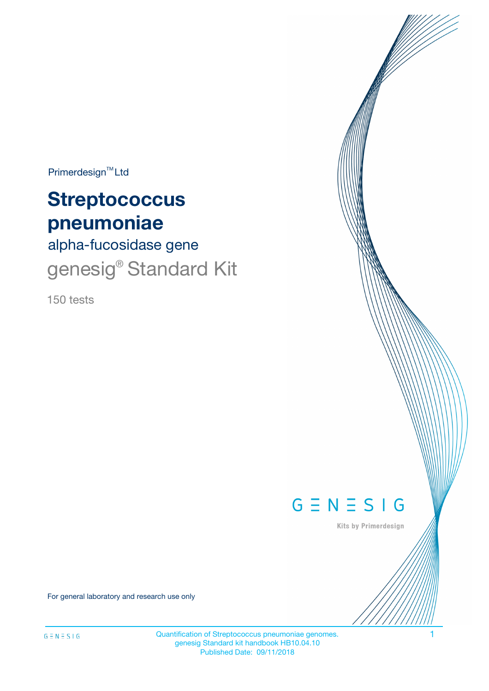$Primerdesign^{\text{TM}}Ltd$ 

# **Streptococcus pneumoniae**

alpha-fucosidase gene genesig<sup>®</sup> Standard Kit

150 tests



Kits by Primerdesign

For general laboratory and research use only

Quantification of Streptococcus pneumoniae genomes. 1 genesig Standard kit handbook HB10.04.10 Published Date: 09/11/2018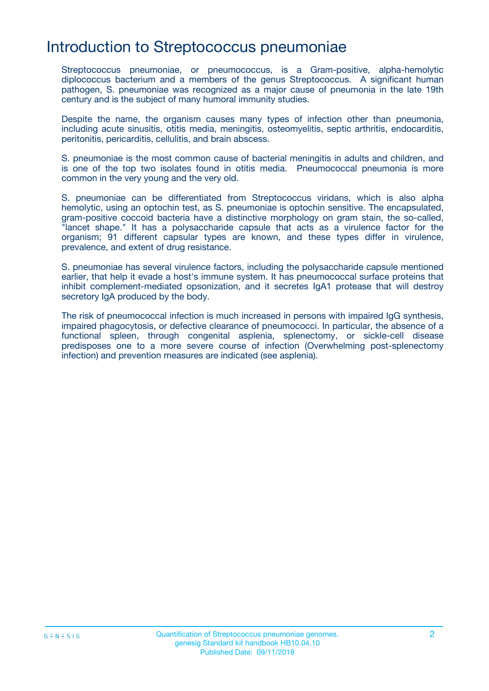## Introduction to Streptococcus pneumoniae

Streptococcus pneumoniae, or pneumococcus, is a Gram-positive, alpha-hemolytic diplococcus bacterium and a members of the genus Streptococcus. A significant human pathogen, S. pneumoniae was recognized as a major cause of pneumonia in the late 19th century and is the subject of many humoral immunity studies.

Despite the name, the organism causes many types of infection other than pneumonia, including acute sinusitis, otitis media, meningitis, osteomyelitis, septic arthritis, endocarditis, peritonitis, pericarditis, cellulitis, and brain abscess.

S. pneumoniae is the most common cause of bacterial meningitis in adults and children, and is one of the top two isolates found in otitis media. Pneumococcal pneumonia is more common in the very young and the very old.

S. pneumoniae can be differentiated from Streptococcus viridans, which is also alpha hemolytic, using an optochin test, as S. pneumoniae is optochin sensitive. The encapsulated, gram-positive coccoid bacteria have a distinctive morphology on gram stain, the so-called, "lancet shape." It has a polysaccharide capsule that acts as a virulence factor for the organism; 91 different capsular types are known, and these types differ in virulence, prevalence, and extent of drug resistance.

S. pneumoniae has several virulence factors, including the polysaccharide capsule mentioned earlier, that help it evade a host's immune system. It has pneumococcal surface proteins that inhibit complement-mediated opsonization, and it secretes IgA1 protease that will destroy secretory IgA produced by the body.

The risk of pneumococcal infection is much increased in persons with impaired IgG synthesis, impaired phagocytosis, or defective clearance of pneumococci. In particular, the absence of a functional spleen, through congenital asplenia, splenectomy, or sickle-cell disease predisposes one to a more severe course of infection (Overwhelming post-splenectomy infection) and prevention measures are indicated (see asplenia).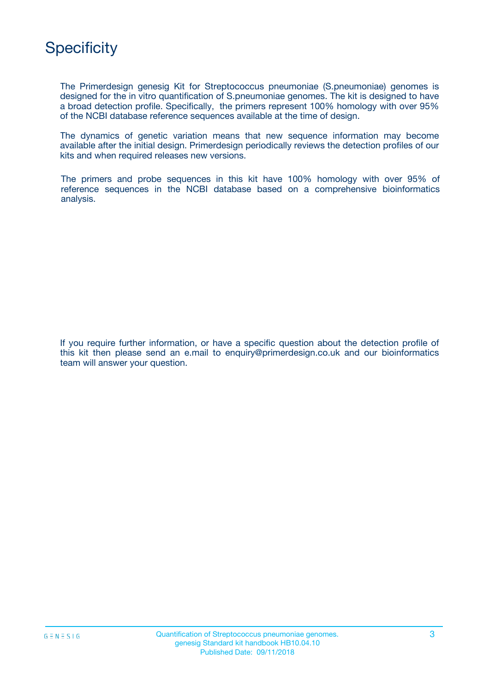

The Primerdesign genesig Kit for Streptococcus pneumoniae (S.pneumoniae) genomes is designed for the in vitro quantification of S.pneumoniae genomes. The kit is designed to have a broad detection profile. Specifically, the primers represent 100% homology with over 95% of the NCBI database reference sequences available at the time of design.

The dynamics of genetic variation means that new sequence information may become available after the initial design. Primerdesign periodically reviews the detection profiles of our kits and when required releases new versions.

The primers and probe sequences in this kit have 100% homology with over 95% of reference sequences in the NCBI database based on a comprehensive bioinformatics analysis.

If you require further information, or have a specific question about the detection profile of this kit then please send an e.mail to enquiry@primerdesign.co.uk and our bioinformatics team will answer your question.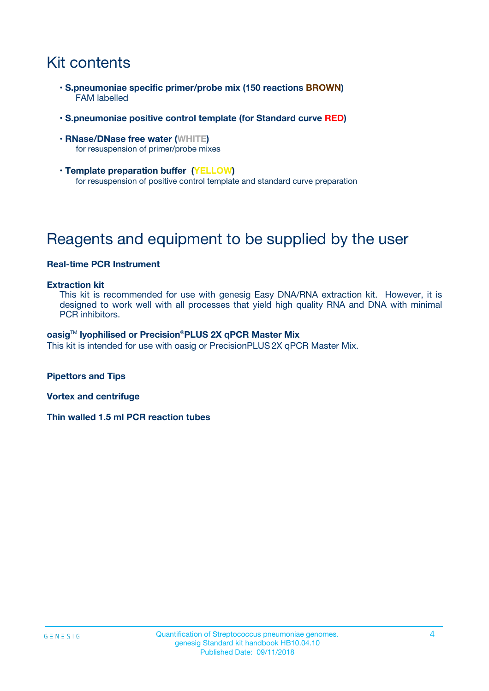## Kit contents

- **S.pneumoniae specific primer/probe mix (150 reactions BROWN)** FAM labelled
- **S.pneumoniae positive control template (for Standard curve RED)**
- **RNase/DNase free water (WHITE)** for resuspension of primer/probe mixes
- **Template preparation buffer (YELLOW)** for resuspension of positive control template and standard curve preparation

## Reagents and equipment to be supplied by the user

### **Real-time PCR Instrument**

#### **Extraction kit**

This kit is recommended for use with genesig Easy DNA/RNA extraction kit. However, it is designed to work well with all processes that yield high quality RNA and DNA with minimal PCR inhibitors.

#### **oasig**TM **lyophilised or Precision**®**PLUS 2X qPCR Master Mix**

This kit is intended for use with oasig or PrecisionPLUS2X qPCR Master Mix.

**Pipettors and Tips**

**Vortex and centrifuge**

**Thin walled 1.5 ml PCR reaction tubes**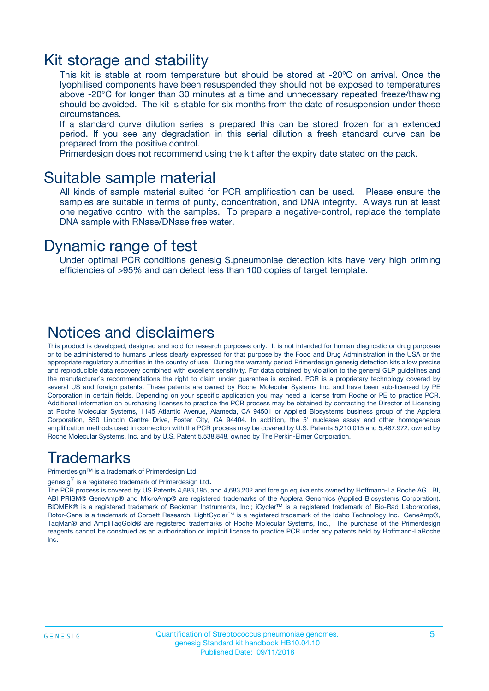### Kit storage and stability

This kit is stable at room temperature but should be stored at -20ºC on arrival. Once the lyophilised components have been resuspended they should not be exposed to temperatures above -20°C for longer than 30 minutes at a time and unnecessary repeated freeze/thawing should be avoided. The kit is stable for six months from the date of resuspension under these circumstances.

If a standard curve dilution series is prepared this can be stored frozen for an extended period. If you see any degradation in this serial dilution a fresh standard curve can be prepared from the positive control.

Primerdesign does not recommend using the kit after the expiry date stated on the pack.

### Suitable sample material

All kinds of sample material suited for PCR amplification can be used. Please ensure the samples are suitable in terms of purity, concentration, and DNA integrity. Always run at least one negative control with the samples. To prepare a negative-control, replace the template DNA sample with RNase/DNase free water.

### Dynamic range of test

Under optimal PCR conditions genesig S.pneumoniae detection kits have very high priming efficiencies of >95% and can detect less than 100 copies of target template.

### Notices and disclaimers

This product is developed, designed and sold for research purposes only. It is not intended for human diagnostic or drug purposes or to be administered to humans unless clearly expressed for that purpose by the Food and Drug Administration in the USA or the appropriate regulatory authorities in the country of use. During the warranty period Primerdesign genesig detection kits allow precise and reproducible data recovery combined with excellent sensitivity. For data obtained by violation to the general GLP guidelines and the manufacturer's recommendations the right to claim under guarantee is expired. PCR is a proprietary technology covered by several US and foreign patents. These patents are owned by Roche Molecular Systems Inc. and have been sub-licensed by PE Corporation in certain fields. Depending on your specific application you may need a license from Roche or PE to practice PCR. Additional information on purchasing licenses to practice the PCR process may be obtained by contacting the Director of Licensing at Roche Molecular Systems, 1145 Atlantic Avenue, Alameda, CA 94501 or Applied Biosystems business group of the Applera Corporation, 850 Lincoln Centre Drive, Foster City, CA 94404. In addition, the 5' nuclease assay and other homogeneous amplification methods used in connection with the PCR process may be covered by U.S. Patents 5,210,015 and 5,487,972, owned by Roche Molecular Systems, Inc, and by U.S. Patent 5,538,848, owned by The Perkin-Elmer Corporation.

## Trademarks

Primerdesign™ is a trademark of Primerdesign Ltd.

genesig $^\circledR$  is a registered trademark of Primerdesign Ltd.

The PCR process is covered by US Patents 4,683,195, and 4,683,202 and foreign equivalents owned by Hoffmann-La Roche AG. BI, ABI PRISM® GeneAmp® and MicroAmp® are registered trademarks of the Applera Genomics (Applied Biosystems Corporation). BIOMEK® is a registered trademark of Beckman Instruments, Inc.; iCycler™ is a registered trademark of Bio-Rad Laboratories, Rotor-Gene is a trademark of Corbett Research. LightCycler™ is a registered trademark of the Idaho Technology Inc. GeneAmp®, TaqMan® and AmpliTaqGold® are registered trademarks of Roche Molecular Systems, Inc., The purchase of the Primerdesign reagents cannot be construed as an authorization or implicit license to practice PCR under any patents held by Hoffmann-LaRoche Inc.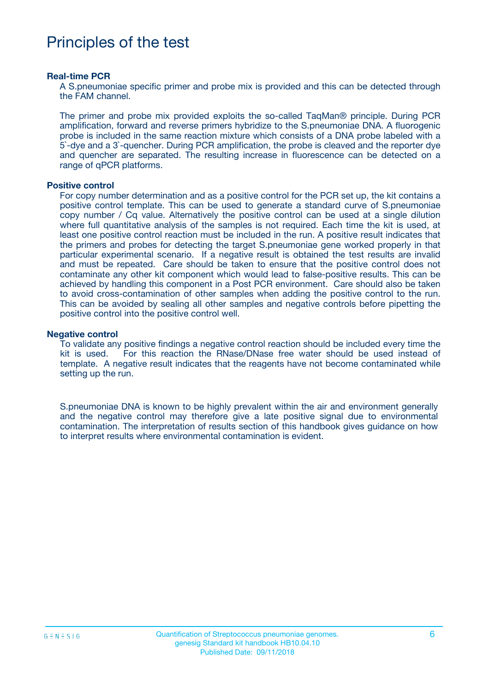## Principles of the test

#### **Real-time PCR**

A S.pneumoniae specific primer and probe mix is provided and this can be detected through the FAM channel.

The primer and probe mix provided exploits the so-called TaqMan® principle. During PCR amplification, forward and reverse primers hybridize to the S.pneumoniae DNA. A fluorogenic probe is included in the same reaction mixture which consists of a DNA probe labeled with a 5`-dye and a 3`-quencher. During PCR amplification, the probe is cleaved and the reporter dye and quencher are separated. The resulting increase in fluorescence can be detected on a range of qPCR platforms.

#### **Positive control**

For copy number determination and as a positive control for the PCR set up, the kit contains a positive control template. This can be used to generate a standard curve of S.pneumoniae copy number / Cq value. Alternatively the positive control can be used at a single dilution where full quantitative analysis of the samples is not required. Each time the kit is used, at least one positive control reaction must be included in the run. A positive result indicates that the primers and probes for detecting the target S.pneumoniae gene worked properly in that particular experimental scenario. If a negative result is obtained the test results are invalid and must be repeated. Care should be taken to ensure that the positive control does not contaminate any other kit component which would lead to false-positive results. This can be achieved by handling this component in a Post PCR environment. Care should also be taken to avoid cross-contamination of other samples when adding the positive control to the run. This can be avoided by sealing all other samples and negative controls before pipetting the positive control into the positive control well.

#### **Negative control**

To validate any positive findings a negative control reaction should be included every time the kit is used. For this reaction the RNase/DNase free water should be used instead of template. A negative result indicates that the reagents have not become contaminated while setting up the run.

S.pneumoniae DNA is known to be highly prevalent within the air and environment generally and the negative control may therefore give a late positive signal due to environmental contamination. The interpretation of results section of this handbook gives guidance on how to interpret results where environmental contamination is evident.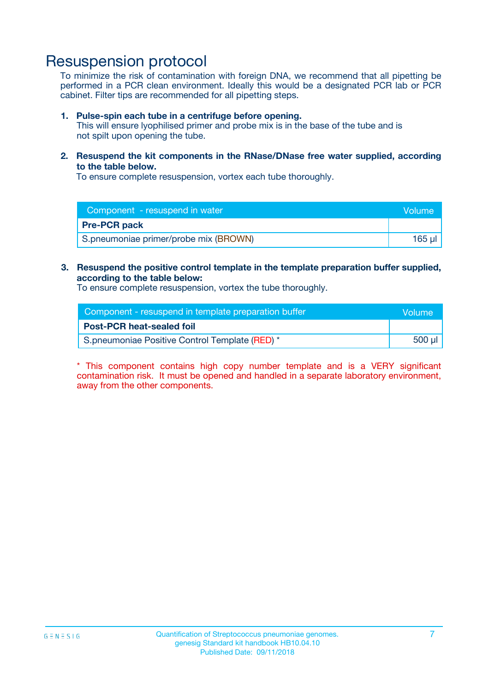## Resuspension protocol

To minimize the risk of contamination with foreign DNA, we recommend that all pipetting be performed in a PCR clean environment. Ideally this would be a designated PCR lab or PCR cabinet. Filter tips are recommended for all pipetting steps.

#### **1. Pulse-spin each tube in a centrifuge before opening.**

This will ensure lyophilised primer and probe mix is in the base of the tube and is not spilt upon opening the tube.

**2. Resuspend the kit components in the RNase/DNase free water supplied, according to the table below.**

To ensure complete resuspension, vortex each tube thoroughly.

| Component - resuspend in water        | Volume |
|---------------------------------------|--------|
| <b>Pre-PCR pack</b>                   |        |
| S.pneumoniae primer/probe mix (BROWN) | 165 ul |

### **3. Resuspend the positive control template in the template preparation buffer supplied, according to the table below:**

To ensure complete resuspension, vortex the tube thoroughly.

| Component - resuspend in template preparation buffer | <b>Nolume</b> |
|------------------------------------------------------|---------------|
| <b>Post-PCR heat-sealed foil</b>                     |               |
| S.pneumoniae Positive Control Template (RED) *       | 500 µl        |

\* This component contains high copy number template and is a VERY significant contamination risk. It must be opened and handled in a separate laboratory environment, away from the other components.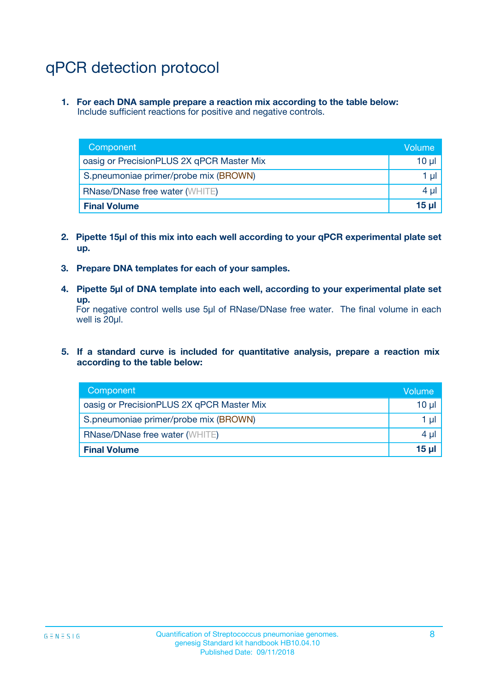## qPCR detection protocol

**1. For each DNA sample prepare a reaction mix according to the table below:** Include sufficient reactions for positive and negative controls.

| Component                                 | Volume          |
|-------------------------------------------|-----------------|
| oasig or PrecisionPLUS 2X qPCR Master Mix | 10 $\mu$        |
| S.pneumoniae primer/probe mix (BROWN)     | 1 $\mu$         |
| <b>RNase/DNase free water (WHITE)</b>     | $4 \mu$         |
| <b>Final Volume</b>                       | 15 <sub>µ</sub> |

- **2. Pipette 15µl of this mix into each well according to your qPCR experimental plate set up.**
- **3. Prepare DNA templates for each of your samples.**
- **4. Pipette 5µl of DNA template into each well, according to your experimental plate set up.**

For negative control wells use 5µl of RNase/DNase free water. The final volume in each well is 20µl.

**5. If a standard curve is included for quantitative analysis, prepare a reaction mix according to the table below:**

| Component                                 | Volume     |
|-------------------------------------------|------------|
| oasig or PrecisionPLUS 2X qPCR Master Mix | $10 \mu$   |
| S.pneumoniae primer/probe mix (BROWN)     | 1 µI       |
| <b>RNase/DNase free water (WHITE)</b>     | $4 \mu$    |
| <b>Final Volume</b>                       | $15$ $\mu$ |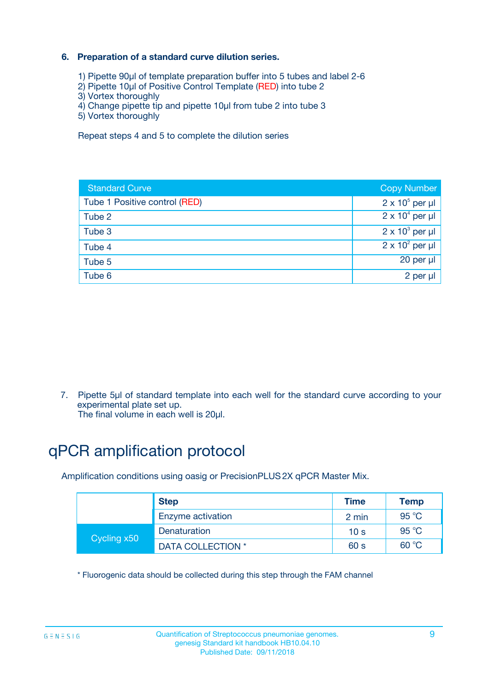### **6. Preparation of a standard curve dilution series.**

- 1) Pipette 90µl of template preparation buffer into 5 tubes and label 2-6
- 2) Pipette 10µl of Positive Control Template (RED) into tube 2
- 3) Vortex thoroughly
- 4) Change pipette tip and pipette 10µl from tube 2 into tube 3
- 5) Vortex thoroughly

Repeat steps 4 and 5 to complete the dilution series

| <b>Standard Curve</b>         | <b>Copy Number</b>     |
|-------------------------------|------------------------|
| Tube 1 Positive control (RED) | $2 \times 10^5$ per µl |
| Tube 2                        | $2 \times 10^4$ per µl |
| Tube 3                        | $2 \times 10^3$ per µl |
| Tube 4                        | $2 \times 10^2$ per µl |
| Tube 5                        | 20 per µl              |
| Tube 6                        | $2$ per $\mu$          |

7. Pipette 5µl of standard template into each well for the standard curve according to your experimental plate set up.

The final volume in each well is 20µl.

## qPCR amplification protocol

Amplification conditions using oasig or PrecisionPLUS2X qPCR Master Mix.

| <b>Step</b> |                   | <b>Time</b>     | Temp           |
|-------------|-------------------|-----------------|----------------|
|             | Enzyme activation | 2 min           | $95^{\circ}$ C |
| Cycling x50 | Denaturation      | 10 <sub>s</sub> | 95 $°C$        |
|             | DATA COLLECTION * | 60 s            | 60 °C          |

\* Fluorogenic data should be collected during this step through the FAM channel